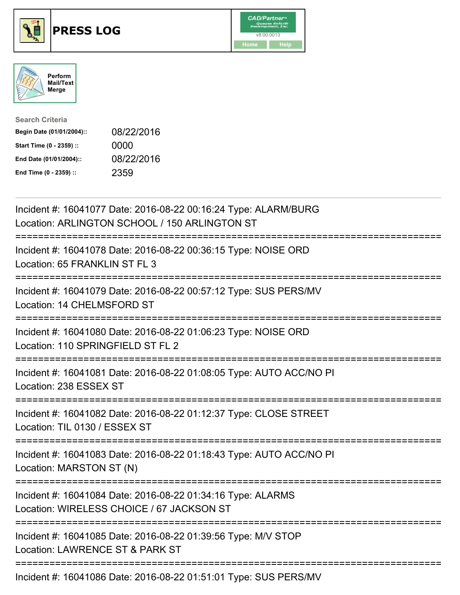





| <b>Search Criteria</b>    |            |
|---------------------------|------------|
| Begin Date (01/01/2004):: | 08/22/2016 |
| Start Time (0 - 2359) ::  | 0000       |
| End Date (01/01/2004)::   | 08/22/2016 |
| End Time (0 - 2359) ::    | 2359       |

| Incident #: 16041077 Date: 2016-08-22 00:16:24 Type: ALARM/BURG<br>Location: ARLINGTON SCHOOL / 150 ARLINGTON ST                     |
|--------------------------------------------------------------------------------------------------------------------------------------|
| Incident #: 16041078 Date: 2016-08-22 00:36:15 Type: NOISE ORD<br>Location: 65 FRANKLIN ST FL 3                                      |
| Incident #: 16041079 Date: 2016-08-22 00:57:12 Type: SUS PERS/MV<br>Location: 14 CHELMSFORD ST<br>======================             |
| Incident #: 16041080 Date: 2016-08-22 01:06:23 Type: NOISE ORD<br>Location: 110 SPRINGFIELD ST FL 2                                  |
| Incident #: 16041081 Date: 2016-08-22 01:08:05 Type: AUTO ACC/NO PI<br>Location: 238 ESSEX ST<br>=================================== |
| Incident #: 16041082 Date: 2016-08-22 01:12:37 Type: CLOSE STREET<br>Location: TIL 0130 / ESSEX ST                                   |
| Incident #: 16041083 Date: 2016-08-22 01:18:43 Type: AUTO ACC/NO PI<br>Location: MARSTON ST (N)                                      |
| Incident #: 16041084 Date: 2016-08-22 01:34:16 Type: ALARMS<br>Location: WIRELESS CHOICE / 67 JACKSON ST                             |
| Incident #: 16041085 Date: 2016-08-22 01:39:56 Type: M/V STOP<br>Location: LAWRENCE ST & PARK ST                                     |
|                                                                                                                                      |

Incident #: 16041086 Date: 2016-08-22 01:51:01 Type: SUS PERS/MV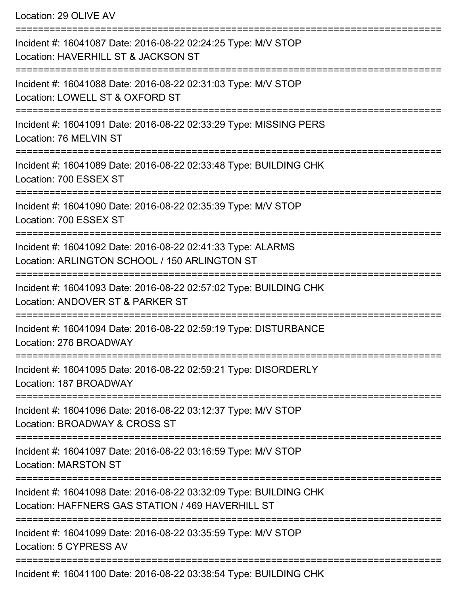Location: 29 OLIVE AV =========================================================================== Incident #: 16041087 Date: 2016-08-22 02:24:25 Type: M/V STOP Location: HAVERHILL ST & JACKSON ST =========================================================================== Incident #: 16041088 Date: 2016-08-22 02:31:03 Type: M/V STOP Location: LOWELL ST & OXFORD ST =========================================================================== Incident #: 16041091 Date: 2016-08-22 02:33:29 Type: MISSING PERS Location: 76 MELVIN ST =========================================================================== Incident #: 16041089 Date: 2016-08-22 02:33:48 Type: BUILDING CHK Location: 700 ESSEX ST =========================================================================== Incident #: 16041090 Date: 2016-08-22 02:35:39 Type: M/V STOP Location: 700 ESSEX ST =========================================================================== Incident #: 16041092 Date: 2016-08-22 02:41:33 Type: ALARMS Location: ARLINGTON SCHOOL / 150 ARLINGTON ST =========================================================================== Incident #: 16041093 Date: 2016-08-22 02:57:02 Type: BUILDING CHK Location: ANDOVER ST & PARKER ST =========================================================================== Incident #: 16041094 Date: 2016-08-22 02:59:19 Type: DISTURBANCE Location: 276 BROADWAY =========================================================================== Incident #: 16041095 Date: 2016-08-22 02:59:21 Type: DISORDERLY Location: 187 BROADWAY =========================================================================== Incident #: 16041096 Date: 2016-08-22 03:12:37 Type: M/V STOP Location: BROADWAY & CROSS ST =========================================================================== Incident #: 16041097 Date: 2016-08-22 03:16:59 Type: M/V STOP Location: MARSTON ST =========================================================================== Incident #: 16041098 Date: 2016-08-22 03:32:09 Type: BUILDING CHK Location: HAFFNERS GAS STATION / 469 HAVERHILL ST =========================================================================== Incident #: 16041099 Date: 2016-08-22 03:35:59 Type: M/V STOP Location: 5 CYPRESS AV ===========================================================================

Incident #: 16041100 Date: 2016-08-22 03:38:54 Type: BUILDING CHK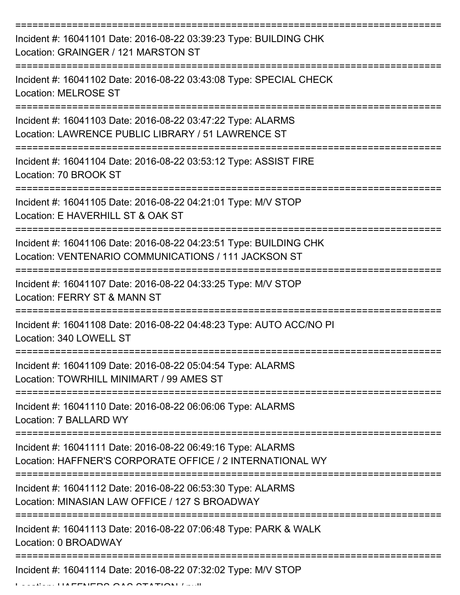| Incident #: 16041101 Date: 2016-08-22 03:39:23 Type: BUILDING CHK<br>Location: GRAINGER / 121 MARSTON ST                  |
|---------------------------------------------------------------------------------------------------------------------------|
| Incident #: 16041102 Date: 2016-08-22 03:43:08 Type: SPECIAL CHECK<br><b>Location: MELROSE ST</b>                         |
| Incident #: 16041103 Date: 2016-08-22 03:47:22 Type: ALARMS<br>Location: LAWRENCE PUBLIC LIBRARY / 51 LAWRENCE ST         |
| Incident #: 16041104 Date: 2016-08-22 03:53:12 Type: ASSIST FIRE<br>Location: 70 BROOK ST                                 |
| Incident #: 16041105 Date: 2016-08-22 04:21:01 Type: M/V STOP<br>Location: E HAVERHILL ST & OAK ST                        |
| Incident #: 16041106 Date: 2016-08-22 04:23:51 Type: BUILDING CHK<br>Location: VENTENARIO COMMUNICATIONS / 111 JACKSON ST |
| Incident #: 16041107 Date: 2016-08-22 04:33:25 Type: M/V STOP<br>Location: FERRY ST & MANN ST                             |
| Incident #: 16041108 Date: 2016-08-22 04:48:23 Type: AUTO ACC/NO PI<br>Location: 340 LOWELL ST                            |
| Incident #: 16041109 Date: 2016-08-22 05:04:54 Type: ALARMS<br>Location: TOWRHILL MINIMART / 99 AMES ST                   |
| Incident #: 16041110 Date: 2016-08-22 06:06:06 Type: ALARMS<br>Location: 7 BALLARD WY                                     |
| Incident #: 16041111 Date: 2016-08-22 06:49:16 Type: ALARMS<br>Location: HAFFNER'S CORPORATE OFFICE / 2 INTERNATIONAL WY  |
| Incident #: 16041112 Date: 2016-08-22 06:53:30 Type: ALARMS<br>Location: MINASIAN LAW OFFICE / 127 S BROADWAY             |
| Incident #: 16041113 Date: 2016-08-22 07:06:48 Type: PARK & WALK<br>Location: 0 BROADWAY                                  |
| Incident #: 16041114 Date: 2016-08-22 07:32:02 Type: M/V STOP                                                             |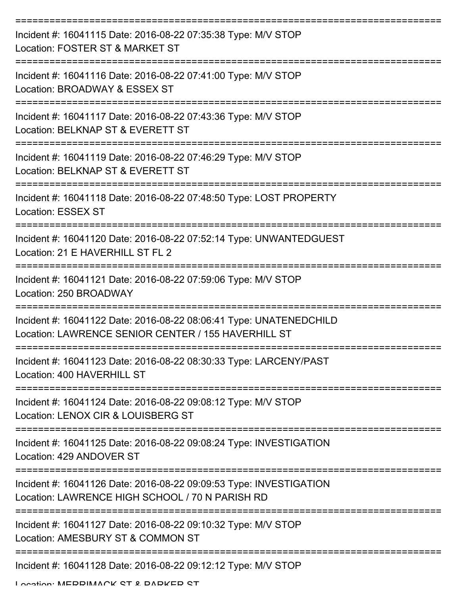| Incident #: 16041115 Date: 2016-08-22 07:35:38 Type: M/V STOP<br>Location: FOSTER ST & MARKET ST                          |
|---------------------------------------------------------------------------------------------------------------------------|
| Incident #: 16041116 Date: 2016-08-22 07:41:00 Type: M/V STOP<br>Location: BROADWAY & ESSEX ST                            |
| Incident #: 16041117 Date: 2016-08-22 07:43:36 Type: M/V STOP<br>Location: BELKNAP ST & EVERETT ST                        |
| Incident #: 16041119 Date: 2016-08-22 07:46:29 Type: M/V STOP<br>Location: BELKNAP ST & EVERETT ST                        |
| Incident #: 16041118 Date: 2016-08-22 07:48:50 Type: LOST PROPERTY<br><b>Location: ESSEX ST</b>                           |
| Incident #: 16041120 Date: 2016-08-22 07:52:14 Type: UNWANTEDGUEST<br>Location: 21 E HAVERHILL ST FL 2                    |
| Incident #: 16041121 Date: 2016-08-22 07:59:06 Type: M/V STOP<br>Location: 250 BROADWAY                                   |
| Incident #: 16041122 Date: 2016-08-22 08:06:41 Type: UNATENEDCHILD<br>Location: LAWRENCE SENIOR CENTER / 155 HAVERHILL ST |
| Incident #: 16041123 Date: 2016-08-22 08:30:33 Type: LARCENY/PAST<br>Location: 400 HAVERHILL ST                           |
| Incident #: 16041124 Date: 2016-08-22 09:08:12 Type: M/V STOP<br>Location: LENOX CIR & LOUISBERG ST                       |
| Incident #: 16041125 Date: 2016-08-22 09:08:24 Type: INVESTIGATION<br>Location: 429 ANDOVER ST                            |
| Incident #: 16041126 Date: 2016-08-22 09:09:53 Type: INVESTIGATION<br>Location: LAWRENCE HIGH SCHOOL / 70 N PARISH RD     |
| Incident #: 16041127 Date: 2016-08-22 09:10:32 Type: M/V STOP<br>Location: AMESBURY ST & COMMON ST                        |
| Incident #: 16041128 Date: 2016-08-22 09:12:12 Type: M/V STOP                                                             |

Location: MEDDIMACK ST & DADKED ST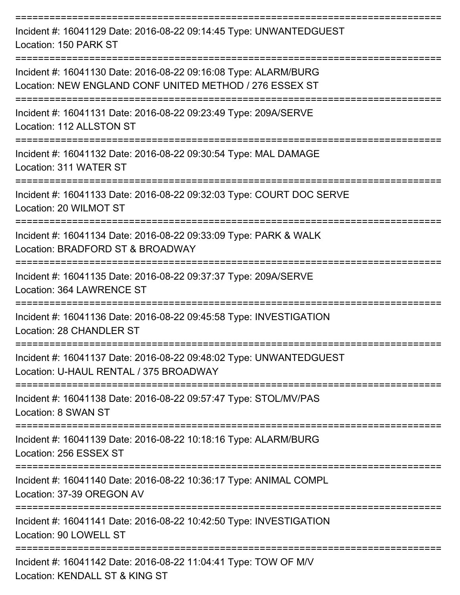| Incident #: 16041129 Date: 2016-08-22 09:14:45 Type: UNWANTEDGUEST<br>Location: 150 PARK ST                                |
|----------------------------------------------------------------------------------------------------------------------------|
| Incident #: 16041130 Date: 2016-08-22 09:16:08 Type: ALARM/BURG<br>Location: NEW ENGLAND CONF UNITED METHOD / 276 ESSEX ST |
| Incident #: 16041131 Date: 2016-08-22 09:23:49 Type: 209A/SERVE<br>Location: 112 ALLSTON ST                                |
| Incident #: 16041132 Date: 2016-08-22 09:30:54 Type: MAL DAMAGE<br>Location: 311 WATER ST                                  |
| Incident #: 16041133 Date: 2016-08-22 09:32:03 Type: COURT DOC SERVE<br>Location: 20 WILMOT ST                             |
| Incident #: 16041134 Date: 2016-08-22 09:33:09 Type: PARK & WALK<br>Location: BRADFORD ST & BROADWAY                       |
| Incident #: 16041135 Date: 2016-08-22 09:37:37 Type: 209A/SERVE<br>Location: 364 LAWRENCE ST                               |
| Incident #: 16041136 Date: 2016-08-22 09:45:58 Type: INVESTIGATION<br>Location: 28 CHANDLER ST                             |
| Incident #: 16041137 Date: 2016-08-22 09:48:02 Type: UNWANTEDGUEST<br>Location: U-HAUL RENTAL / 375 BROADWAY               |
| Incident #: 16041138 Date: 2016-08-22 09:57:47 Type: STOL/MV/PAS<br>Location: 8 SWAN ST                                    |
| Incident #: 16041139 Date: 2016-08-22 10:18:16 Type: ALARM/BURG<br>Location: 256 ESSEX ST                                  |
| Incident #: 16041140 Date: 2016-08-22 10:36:17 Type: ANIMAL COMPL<br>Location: 37-39 OREGON AV                             |
| Incident #: 16041141 Date: 2016-08-22 10:42:50 Type: INVESTIGATION<br>Location: 90 LOWELL ST                               |
| Incident #: 16041142 Date: 2016-08-22 11:04:41 Type: TOW OF M/V<br>Location: KENDALL ST & KING ST                          |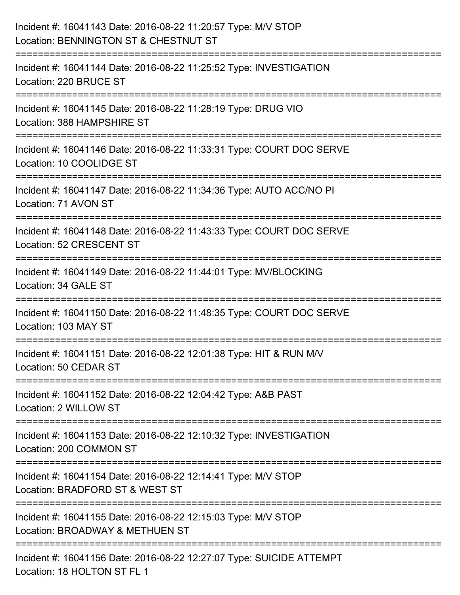| Incident #: 16041143 Date: 2016-08-22 11:20:57 Type: M/V STOP<br>Location: BENNINGTON ST & CHESTNUT ST                                   |
|------------------------------------------------------------------------------------------------------------------------------------------|
| Incident #: 16041144 Date: 2016-08-22 11:25:52 Type: INVESTIGATION<br>Location: 220 BRUCE ST                                             |
| Incident #: 16041145 Date: 2016-08-22 11:28:19 Type: DRUG VIO<br>Location: 388 HAMPSHIRE ST                                              |
| Incident #: 16041146 Date: 2016-08-22 11:33:31 Type: COURT DOC SERVE<br>Location: 10 COOLIDGE ST                                         |
| Incident #: 16041147 Date: 2016-08-22 11:34:36 Type: AUTO ACC/NO PI<br>Location: 71 AVON ST                                              |
| :===================================<br>Incident #: 16041148 Date: 2016-08-22 11:43:33 Type: COURT DOC SERVE<br>Location: 52 CRESCENT ST |
| ===================<br>Incident #: 16041149 Date: 2016-08-22 11:44:01 Type: MV/BLOCKING<br>Location: 34 GALE ST                          |
| Incident #: 16041150 Date: 2016-08-22 11:48:35 Type: COURT DOC SERVE<br>Location: 103 MAY ST                                             |
| Incident #: 16041151 Date: 2016-08-22 12:01:38 Type: HIT & RUN M/V<br>Location: 50 CEDAR ST                                              |
| Incident #: 16041152 Date: 2016-08-22 12:04:42 Type: A&B PAST<br>Location: 2 WILLOW ST                                                   |
| Incident #: 16041153 Date: 2016-08-22 12:10:32 Type: INVESTIGATION<br>Location: 200 COMMON ST                                            |
| Incident #: 16041154 Date: 2016-08-22 12:14:41 Type: M/V STOP<br>Location: BRADFORD ST & WEST ST                                         |
| Incident #: 16041155 Date: 2016-08-22 12:15:03 Type: M/V STOP<br>Location: BROADWAY & METHUEN ST                                         |
| Incident #: 16041156 Date: 2016-08-22 12:27:07 Type: SUICIDE ATTEMPT<br>Location: 18 HOLTON ST FL 1                                      |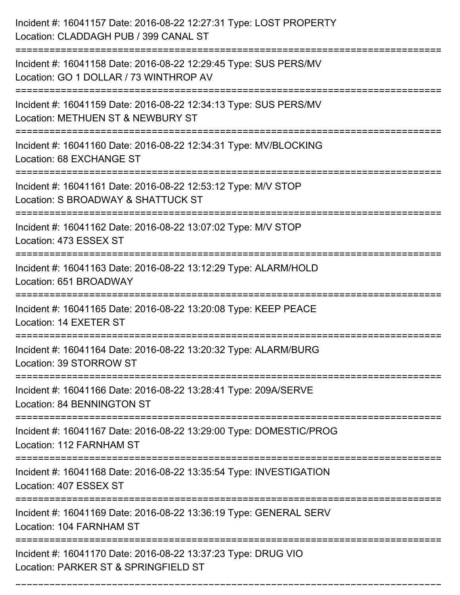| Incident #: 16041157 Date: 2016-08-22 12:27:31 Type: LOST PROPERTY<br>Location: CLADDAGH PUB / 399 CANAL ST                        |
|------------------------------------------------------------------------------------------------------------------------------------|
| Incident #: 16041158 Date: 2016-08-22 12:29:45 Type: SUS PERS/MV<br>Location: GO 1 DOLLAR / 73 WINTHROP AV                         |
| Incident #: 16041159 Date: 2016-08-22 12:34:13 Type: SUS PERS/MV<br>Location: METHUEN ST & NEWBURY ST                              |
| Incident #: 16041160 Date: 2016-08-22 12:34:31 Type: MV/BLOCKING<br>Location: 68 EXCHANGE ST                                       |
| Incident #: 16041161 Date: 2016-08-22 12:53:12 Type: M/V STOP<br>Location: S BROADWAY & SHATTUCK ST                                |
| Incident #: 16041162 Date: 2016-08-22 13:07:02 Type: M/V STOP<br>Location: 473 ESSEX ST                                            |
| Incident #: 16041163 Date: 2016-08-22 13:12:29 Type: ALARM/HOLD<br>Location: 651 BROADWAY                                          |
| Incident #: 16041165 Date: 2016-08-22 13:20:08 Type: KEEP PEACE<br>Location: 14 EXETER ST                                          |
| Incident #: 16041164 Date: 2016-08-22 13:20:32 Type: ALARM/BURG<br>Location: 39 STORROW ST                                         |
| Incident #: 16041166 Date: 2016-08-22 13:28:41 Type: 209A/SERVE<br>Location: 84 BENNINGTON ST<br>--------------------------------- |
| Incident #: 16041167 Date: 2016-08-22 13:29:00 Type: DOMESTIC/PROG<br>Location: 112 FARNHAM ST                                     |
| Incident #: 16041168 Date: 2016-08-22 13:35:54 Type: INVESTIGATION<br>Location: 407 ESSEX ST                                       |
| Incident #: 16041169 Date: 2016-08-22 13:36:19 Type: GENERAL SERV<br>Location: 104 FARNHAM ST                                      |
| Incident #: 16041170 Date: 2016-08-22 13:37:23 Type: DRUG VIO<br>Location: PARKER ST & SPRINGFIELD ST                              |

===========================================================================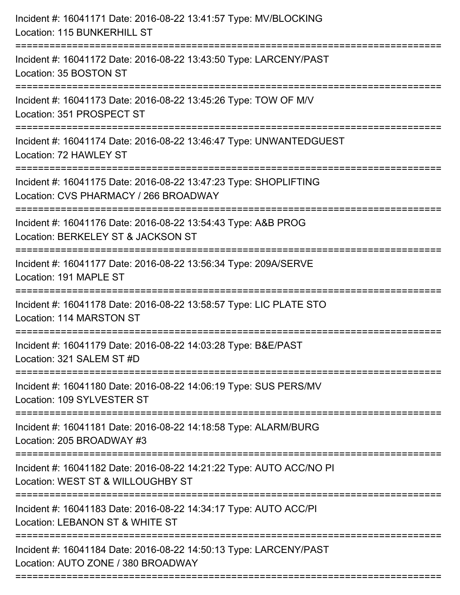| Incident #: 16041171 Date: 2016-08-22 13:41:57 Type: MV/BLOCKING<br>Location: 115 BUNKERHILL ST<br>==============================     |
|---------------------------------------------------------------------------------------------------------------------------------------|
| Incident #: 16041172 Date: 2016-08-22 13:43:50 Type: LARCENY/PAST<br>Location: 35 BOSTON ST                                           |
| Incident #: 16041173 Date: 2016-08-22 13:45:26 Type: TOW OF M/V<br>Location: 351 PROSPECT ST<br>:==================================== |
| Incident #: 16041174 Date: 2016-08-22 13:46:47 Type: UNWANTEDGUEST<br>Location: 72 HAWLEY ST                                          |
| Incident #: 16041175 Date: 2016-08-22 13:47:23 Type: SHOPLIFTING<br>Location: CVS PHARMACY / 266 BROADWAY                             |
| Incident #: 16041176 Date: 2016-08-22 13:54:43 Type: A&B PROG<br>Location: BERKELEY ST & JACKSON ST                                   |
| Incident #: 16041177 Date: 2016-08-22 13:56:34 Type: 209A/SERVE<br>Location: 191 MAPLE ST                                             |
| Incident #: 16041178 Date: 2016-08-22 13:58:57 Type: LIC PLATE STO<br>Location: 114 MARSTON ST                                        |
| Incident #: 16041179 Date: 2016-08-22 14:03:28 Type: B&E/PAST<br>Location: 321 SALEM ST #D                                            |
| Incident #: 16041180 Date: 2016-08-22 14:06:19 Type: SUS PERS/MV<br>Location: 109 SYLVESTER ST                                        |
| Incident #: 16041181 Date: 2016-08-22 14:18:58 Type: ALARM/BURG<br>Location: 205 BROADWAY #3                                          |
| Incident #: 16041182 Date: 2016-08-22 14:21:22 Type: AUTO ACC/NO PI<br>Location: WEST ST & WILLOUGHBY ST                              |
| Incident #: 16041183 Date: 2016-08-22 14:34:17 Type: AUTO ACC/PI<br>Location: LEBANON ST & WHITE ST                                   |
| Incident #: 16041184 Date: 2016-08-22 14:50:13 Type: LARCENY/PAST<br>Location: AUTO ZONE / 380 BROADWAY                               |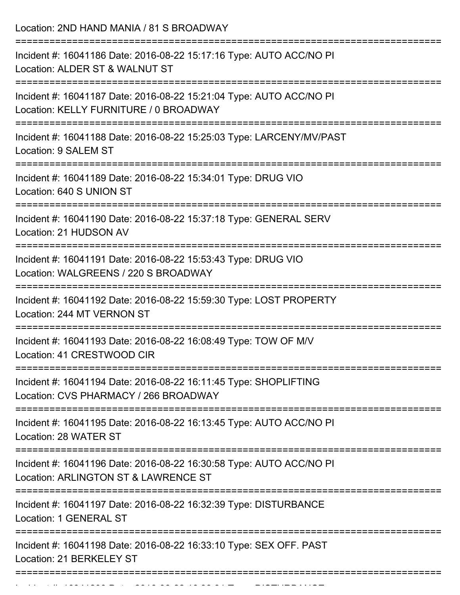Location: 2ND HAND MANIA / 81 S BROADWAY =========================================================================== Incident #: 16041186 Date: 2016-08-22 15:17:16 Type: AUTO ACC/NO PI Location: ALDER ST & WALNUT ST =========================================================================== Incident #: 16041187 Date: 2016-08-22 15:21:04 Type: AUTO ACC/NO PI Location: KELLY FURNITURE / 0 BROADWAY =========================================================================== Incident #: 16041188 Date: 2016-08-22 15:25:03 Type: LARCENY/MV/PAST Location: 9 SALEM ST =========================================================================== Incident #: 16041189 Date: 2016-08-22 15:34:01 Type: DRUG VIO Location: 640 S UNION ST =========================================================================== Incident #: 16041190 Date: 2016-08-22 15:37:18 Type: GENERAL SERV Location: 21 HUDSON AV =========================================================================== Incident #: 16041191 Date: 2016-08-22 15:53:43 Type: DRUG VIO Location: WALGREENS / 220 S BROADWAY =========================================================================== Incident #: 16041192 Date: 2016-08-22 15:59:30 Type: LOST PROPERTY Location: 244 MT VERNON ST =========================================================================== Incident #: 16041193 Date: 2016-08-22 16:08:49 Type: TOW OF M/V Location: 41 CRESTWOOD CIR =========================================================================== Incident #: 16041194 Date: 2016-08-22 16:11:45 Type: SHOPLIFTING Location: CVS PHARMACY / 266 BROADWAY =========================================================================== Incident #: 16041195 Date: 2016-08-22 16:13:45 Type: AUTO ACC/NO PI Location: 28 WATER ST =========================================================================== Incident #: 16041196 Date: 2016-08-22 16:30:58 Type: AUTO ACC/NO PI Location: ARLINGTON ST & LAWRENCE ST =========================================================================== Incident #: 16041197 Date: 2016-08-22 16:32:39 Type: DISTURBANCE Location: 1 GENERAL ST =========================================================================== Incident #: 16041198 Date: 2016-08-22 16:33:10 Type: SEX OFF. PAST Location: 21 BERKELEY ST ===========================================================================

Incident #: 16041200 Date: 2016 08 22 16:38:31 Type: DISTURBANCE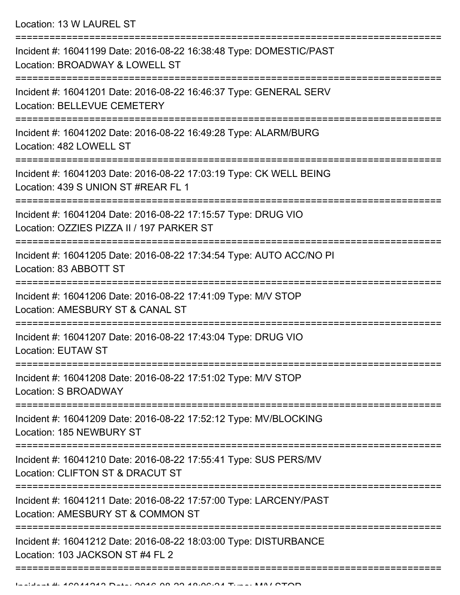Location: 13 W LAUREL ST

| Incident #: 16041199 Date: 2016-08-22 16:38:48 Type: DOMESTIC/PAST<br>Location: BROADWAY & LOWELL ST                             |
|----------------------------------------------------------------------------------------------------------------------------------|
| Incident #: 16041201 Date: 2016-08-22 16:46:37 Type: GENERAL SERV<br>Location: BELLEVUE CEMETERY                                 |
| Incident #: 16041202 Date: 2016-08-22 16:49:28 Type: ALARM/BURG<br>Location: 482 LOWELL ST                                       |
| Incident #: 16041203 Date: 2016-08-22 17:03:19 Type: CK WELL BEING<br>Location: 439 S UNION ST #REAR FL 1                        |
| Incident #: 16041204 Date: 2016-08-22 17:15:57 Type: DRUG VIO<br>Location: OZZIES PIZZA II / 197 PARKER ST                       |
| Incident #: 16041205 Date: 2016-08-22 17:34:54 Type: AUTO ACC/NO PI<br>Location: 83 ABBOTT ST                                    |
| Incident #: 16041206 Date: 2016-08-22 17:41:09 Type: M/V STOP<br>Location: AMESBURY ST & CANAL ST                                |
| Incident #: 16041207 Date: 2016-08-22 17:43:04 Type: DRUG VIO<br><b>Location: EUTAW ST</b>                                       |
| Incident #: 16041208 Date: 2016-08-22 17:51:02 Type: M/V STOP<br>Location: S BROADWAY<br>----------------                        |
| Incident #: 16041209 Date: 2016-08-22 17:52:12 Type: MV/BLOCKING<br>Location: 185 NEWBURY ST                                     |
| ------------------------<br>Incident #: 16041210 Date: 2016-08-22 17:55:41 Type: SUS PERS/MV<br>Location: CLIFTON ST & DRACUT ST |
| Incident #: 16041211 Date: 2016-08-22 17:57:00 Type: LARCENY/PAST<br>Location: AMESBURY ST & COMMON ST                           |
| Incident #: 16041212 Date: 2016-08-22 18:03:00 Type: DISTURBANCE<br>Location: 103 JACKSON ST #4 FL 2                             |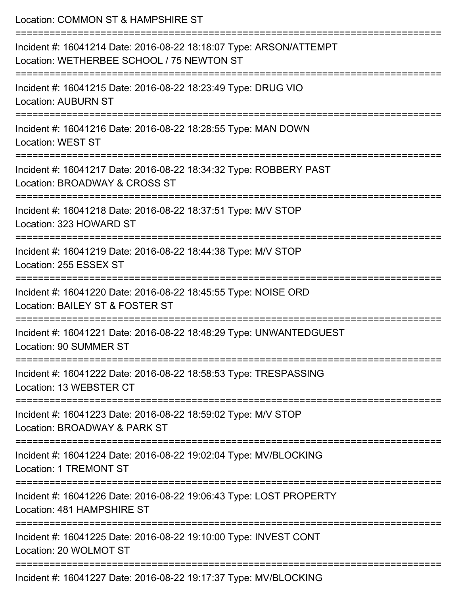| Location: COMMON ST & HAMPSHIRE ST                                                                                                                                           |
|------------------------------------------------------------------------------------------------------------------------------------------------------------------------------|
| Incident #: 16041214 Date: 2016-08-22 18:18:07 Type: ARSON/ATTEMPT<br>Location: WETHERBEE SCHOOL / 75 NEWTON ST<br>==============================<br>----------------------- |
| Incident #: 16041215 Date: 2016-08-22 18:23:49 Type: DRUG VIO<br><b>Location: AUBURN ST</b>                                                                                  |
| Incident #: 16041216 Date: 2016-08-22 18:28:55 Type: MAN DOWN<br><b>Location: WEST ST</b>                                                                                    |
| Incident #: 16041217 Date: 2016-08-22 18:34:32 Type: ROBBERY PAST<br>Location: BROADWAY & CROSS ST                                                                           |
| Incident #: 16041218 Date: 2016-08-22 18:37:51 Type: M/V STOP<br>Location: 323 HOWARD ST                                                                                     |
| Incident #: 16041219 Date: 2016-08-22 18:44:38 Type: M/V STOP<br>Location: 255 ESSEX ST                                                                                      |
| Incident #: 16041220 Date: 2016-08-22 18:45:55 Type: NOISE ORD<br>Location: BAILEY ST & FOSTER ST                                                                            |
| Incident #: 16041221 Date: 2016-08-22 18:48:29 Type: UNWANTEDGUEST<br>Location: 90 SUMMER ST                                                                                 |
| Incident #: 16041222 Date: 2016-08-22 18:58:53 Type: TRESPASSING<br>Location: 13 WEBSTER CT                                                                                  |
| Incident #: 16041223 Date: 2016-08-22 18:59:02 Type: M/V STOP<br>Location: BROADWAY & PARK ST                                                                                |
| Incident #: 16041224 Date: 2016-08-22 19:02:04 Type: MV/BLOCKING<br><b>Location: 1 TREMONT ST</b>                                                                            |
| Incident #: 16041226 Date: 2016-08-22 19:06:43 Type: LOST PROPERTY<br>Location: 481 HAMPSHIRE ST                                                                             |
| Incident #: 16041225 Date: 2016-08-22 19:10:00 Type: INVEST CONT<br>Location: 20 WOLMOT ST                                                                                   |
|                                                                                                                                                                              |

Incident #: 16041227 Date: 2016-08-22 19:17:37 Type: MV/BLOCKING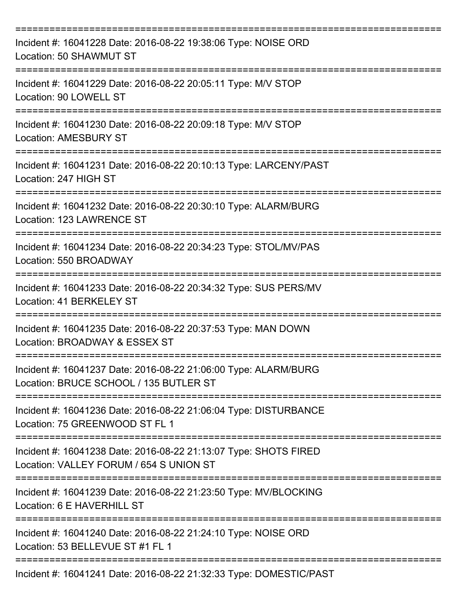| Incident #: 16041228 Date: 2016-08-22 19:38:06 Type: NOISE ORD<br>Location: 50 SHAWMUT ST                   |
|-------------------------------------------------------------------------------------------------------------|
| Incident #: 16041229 Date: 2016-08-22 20:05:11 Type: M/V STOP<br>Location: 90 LOWELL ST                     |
| Incident #: 16041230 Date: 2016-08-22 20:09:18 Type: M/V STOP<br><b>Location: AMESBURY ST</b>               |
| Incident #: 16041231 Date: 2016-08-22 20:10:13 Type: LARCENY/PAST<br>Location: 247 HIGH ST                  |
| Incident #: 16041232 Date: 2016-08-22 20:30:10 Type: ALARM/BURG<br>Location: 123 LAWRENCE ST                |
| Incident #: 16041234 Date: 2016-08-22 20:34:23 Type: STOL/MV/PAS<br>Location: 550 BROADWAY                  |
| Incident #: 16041233 Date: 2016-08-22 20:34:32 Type: SUS PERS/MV<br>Location: 41 BERKELEY ST                |
| Incident #: 16041235 Date: 2016-08-22 20:37:53 Type: MAN DOWN<br>Location: BROADWAY & ESSEX ST              |
| Incident #: 16041237 Date: 2016-08-22 21:06:00 Type: ALARM/BURG<br>Location: BRUCE SCHOOL / 135 BUTLER ST   |
| Incident #: 16041236 Date: 2016-08-22 21:06:04 Type: DISTURBANCE<br>Location: 75 GREENWOOD ST FL 1          |
| Incident #: 16041238 Date: 2016-08-22 21:13:07 Type: SHOTS FIRED<br>Location: VALLEY FORUM / 654 S UNION ST |
| Incident #: 16041239 Date: 2016-08-22 21:23:50 Type: MV/BLOCKING<br>Location: 6 E HAVERHILL ST              |
| Incident #: 16041240 Date: 2016-08-22 21:24:10 Type: NOISE ORD<br>Location: 53 BELLEVUE ST #1 FL 1          |
| Incident #: 16041241 Date: 2016-08-22 21:32:33 Type: DOMESTIC/PAST                                          |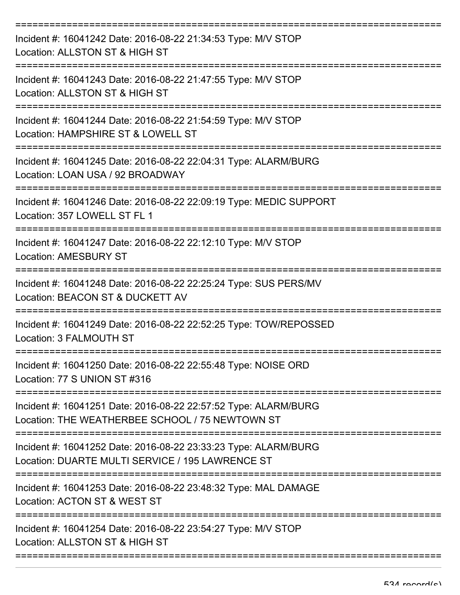| Incident #: 16041242 Date: 2016-08-22 21:34:53 Type: M/V STOP<br>Location: ALLSTON ST & HIGH ST                     |
|---------------------------------------------------------------------------------------------------------------------|
| Incident #: 16041243 Date: 2016-08-22 21:47:55 Type: M/V STOP<br>Location: ALLSTON ST & HIGH ST                     |
| Incident #: 16041244 Date: 2016-08-22 21:54:59 Type: M/V STOP<br>Location: HAMPSHIRE ST & LOWELL ST                 |
| Incident #: 16041245 Date: 2016-08-22 22:04:31 Type: ALARM/BURG<br>Location: LOAN USA / 92 BROADWAY                 |
| Incident #: 16041246 Date: 2016-08-22 22:09:19 Type: MEDIC SUPPORT<br>Location: 357 LOWELL ST FL 1                  |
| Incident #: 16041247 Date: 2016-08-22 22:12:10 Type: M/V STOP<br><b>Location: AMESBURY ST</b>                       |
| Incident #: 16041248 Date: 2016-08-22 22:25:24 Type: SUS PERS/MV<br>Location: BEACON ST & DUCKETT AV                |
| Incident #: 16041249 Date: 2016-08-22 22:52:25 Type: TOW/REPOSSED<br>Location: 3 FALMOUTH ST                        |
| Incident #: 16041250 Date: 2016-08-22 22:55:48 Type: NOISE ORD<br>Location: 77 S UNION ST #316                      |
| Incident #: 16041251 Date: 2016-08-22 22:57:52 Type: ALARM/BURG<br>Location: THE WEATHERBEE SCHOOL / 75 NEWTOWN ST  |
| Incident #: 16041252 Date: 2016-08-22 23:33:23 Type: ALARM/BURG<br>Location: DUARTE MULTI SERVICE / 195 LAWRENCE ST |
| Incident #: 16041253 Date: 2016-08-22 23:48:32 Type: MAL DAMAGE<br>Location: ACTON ST & WEST ST                     |
| Incident #: 16041254 Date: 2016-08-22 23:54:27 Type: M/V STOP<br>Location: ALLSTON ST & HIGH ST                     |
|                                                                                                                     |